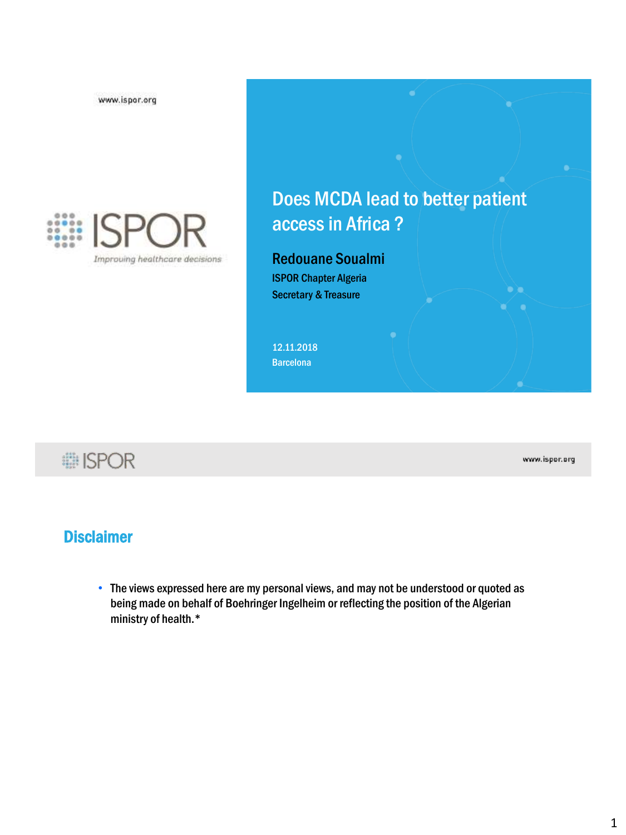www.ispor.org



## Does MCDA lead to better patient accessin Africa ?

#### Redouane Soualmi ISPOR Chapter Algeria Secretary & Treasure

12.11.2018 **Barcelona** 

**i ISPOR** 

www.ispor.org

 $\bullet$   $\bullet$ 

### **Disclaimer**

• The views expressed here are my personal views, and may not be understood or quoted as being made on behalf of Boehringer Ingelheim or reflecting the position of the Algerian ministry of health.\*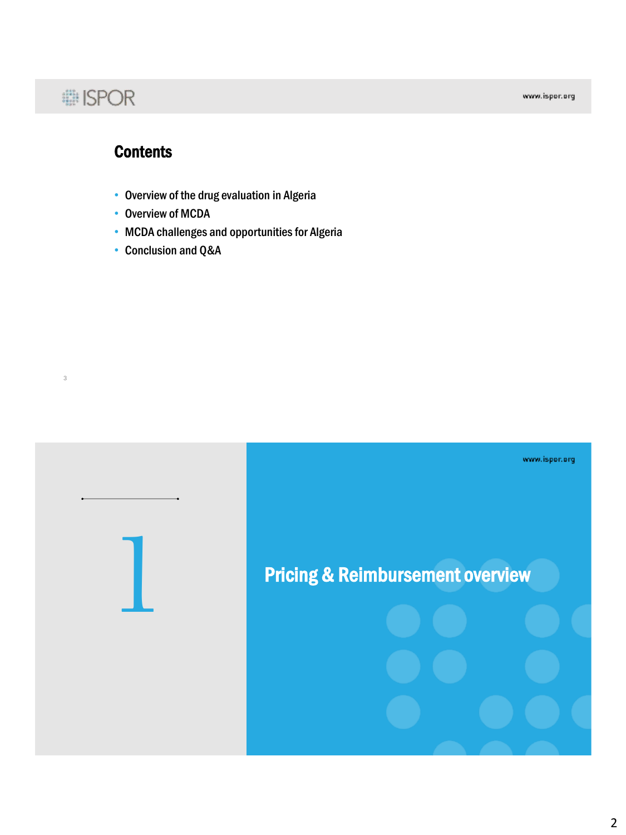# : ISPOR

3

www.ispor.org

### **Contents**

- Overview of the drug evaluation in Algeria
- Overview of MCDA
- MCDA challenges and opportunities for Algeria
- Conclusion and Q&A

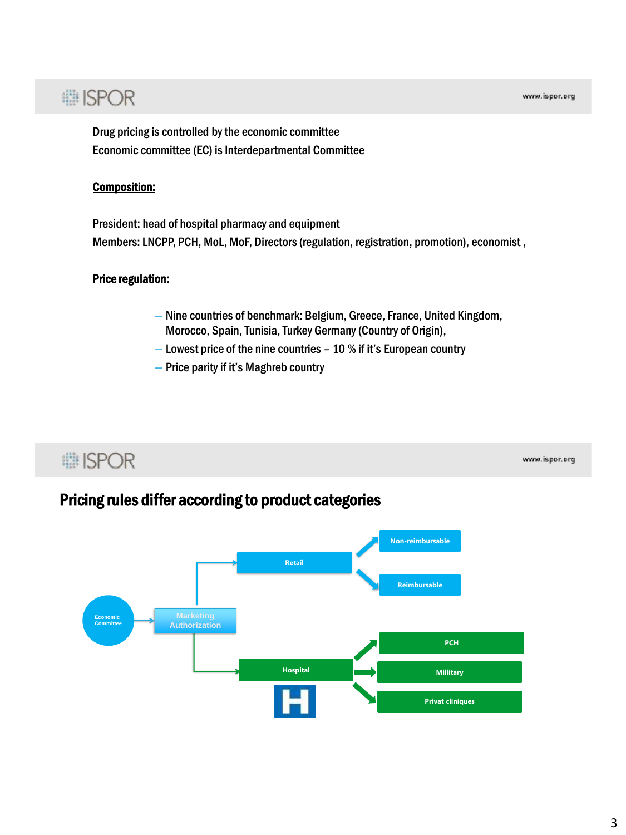www.ispor.org

# **: ISPOR**

Drug pricing is controlled by the economic committee Economic committee (EC) is Interdepartmental Committee

#### Composition:

President: head of hospital pharmacy and equipment Members: LNCPP, PCH, MoL, MoF, Directors (regulation, registration, promotion), economist ,

#### Price regulation:

**■ISPOR** 

- Nine countries of benchmark: Belgium, Greece, France, United Kingdom, Morocco, Spain, Tunisia, Turkey Germany (Country of Origin),
- Lowest price of the nine countries 10 % if it's European country
- Price parity if it's Maghreb country

### Pricing rules differ according to product categories

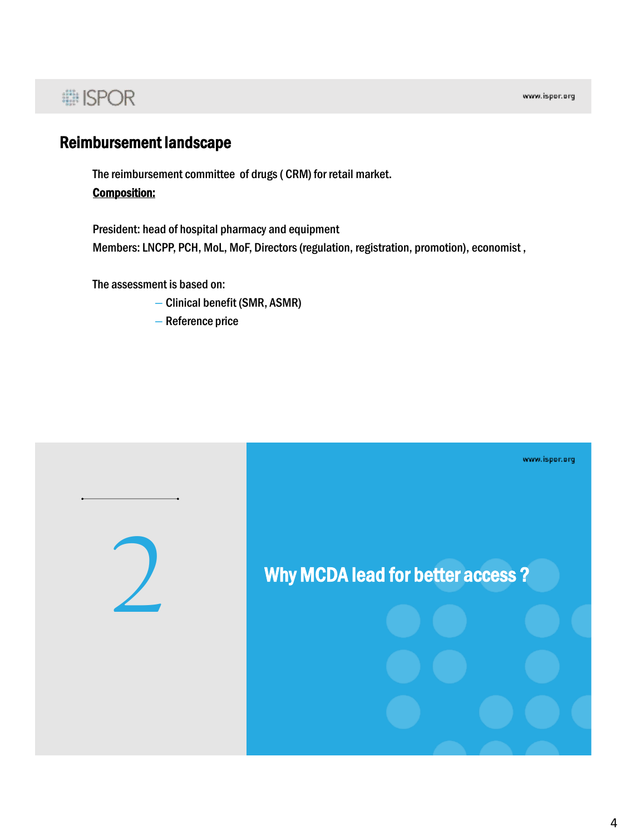# **... ISPOR**

### Reimbursement landscape

The reimbursement committee of drugs( CRM) for retail market. Composition:

President: head of hospital pharmacy and equipment Members: LNCPP, PCH, MoL, MoF, Directors (regulation, registration, promotion), economist ,

The assessment is based on:

- Clinical benefit (SMR, ASMR)
- Reference price

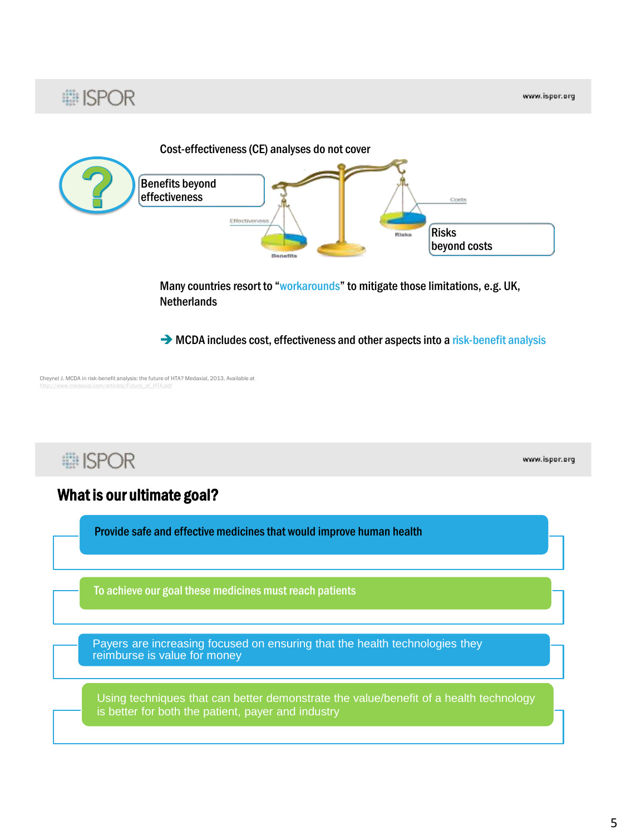

→ MCDA includes cost, effectiveness and other aspects into a risk-benefit analysis

Cheynel J. MCDA in risk-benefit analysis: the future of HTA? Medaxial, 2013. Available at

**■ISPOR** 

: ISPOR

www.ispor.org

#### What is our ultimate goal?

Provide safe and effective medicines that would improve human health

To achieve our goal these medicines must reach patients

Payers are increasing focused on ensuring that the health technologies they reimburse is value for money

Using techniques that can better demonstrate the value/benefit of a health technology is better for both the patient, payer and industry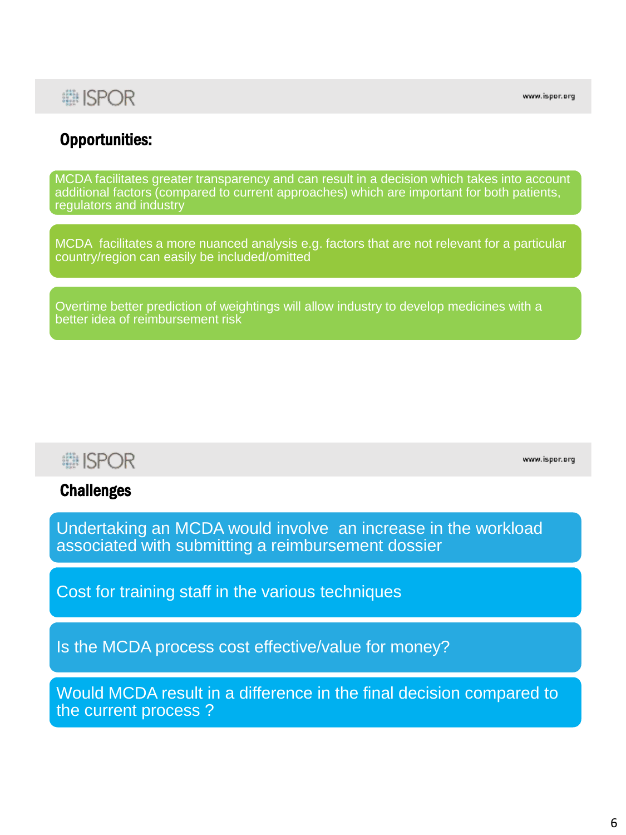### : ISPOR

www.ispor.org

### Opportunities:

MCDA facilitates greater transparency and can result in a decision which takes into account additional factors (compared to current approaches) which are important for both patients, regulators and industry

MCDA facilitates a more nuanced analysis e.g. factors that are not relevant for a particular country/region can easily be included/omitted

Overtime better prediction of weightings will allow industry to develop medicines with a better idea of reimbursement risk

## **■ISPOR**

www.ispor.org

#### **Challenges**

Undertaking an MCDA would involve an increase in the workload associated with submitting a reimbursement dossier

Cost for training staff in the various techniques

Is the MCDA process cost effective/value for money?

Would MCDA result in a difference in the final decision compared to the current process ?